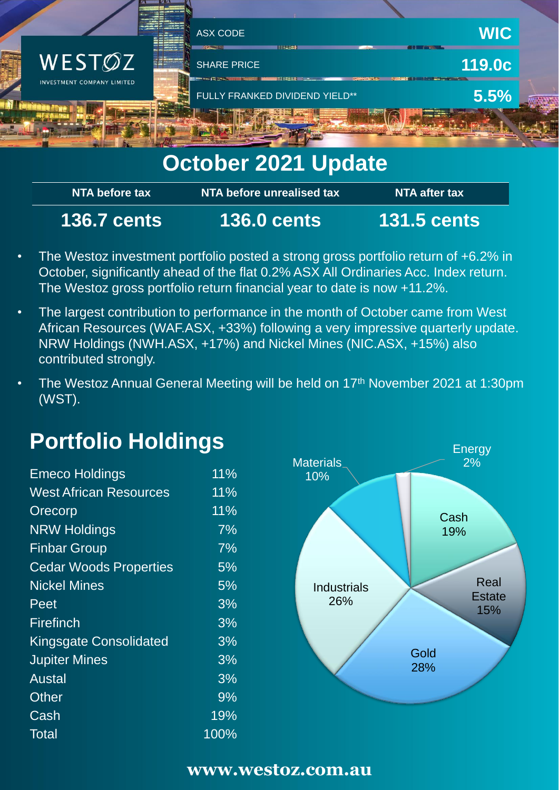

# **October 2021 Update**

| NTA before tax <b>b</b> | NTA before unrealised tax | NTA after tax      |
|-------------------------|---------------------------|--------------------|
| <b>136.7 cents</b>      | <b>136.0 cents</b>        | <b>131.5 cents</b> |

- The Westoz investment portfolio posted a strong gross portfolio return of +6.2% in October, significantly ahead of the flat 0.2% ASX All Ordinaries Acc. Index return. The Westoz gross portfolio return financial year to date is now +11.2%.
- The largest contribution to performance in the month of October came from West African Resources (WAF.ASX, +33%) following a very impressive quarterly update. NRW Holdings (NWH.ASX, +17%) and Nickel Mines (NIC.ASX, +15%) also contributed strongly.
- The Westoz Annual General Meeting will be held on 17<sup>th</sup> November 2021 at 1:30pm (WST).

# **Portfolio Holdings**

| <b>Emeco Holdings</b>         | 11%  |
|-------------------------------|------|
| <b>West African Resources</b> | 11%  |
| Orecorp                       | 11%  |
| <b>NRW Holdings</b>           | 7%   |
| <b>Finbar Group</b>           | 7%   |
| <b>Cedar Woods Properties</b> | 5%   |
| <b>Nickel Mines</b>           | 5%   |
| Peet                          | 3%   |
| Firefinch                     | 3%   |
| <b>Kingsgate Consolidated</b> | 3%   |
| <b>Jupiter Mines</b>          | 3%   |
| Austal                        | 3%   |
| <b>Other</b>                  | 9%   |
| Cash                          | 19%  |
| Total                         | 100% |



### **www.westoz.com.au**